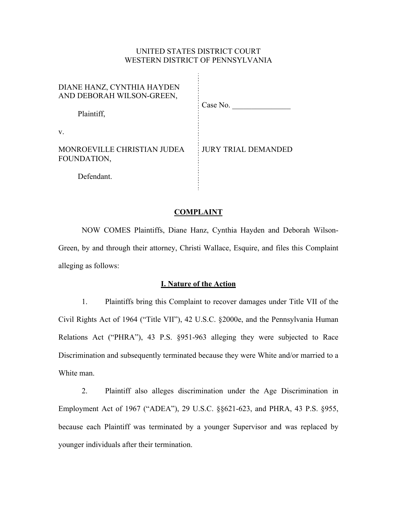# UNITED STATES DISTRICT COURT WESTERN DISTRICT OF PENNSYLVANIA

 $\hat{\mathcal{A}}$ 

| DIANE HANZ, CYNTHIA HAYDEN<br>AND DEBORAH WILSON-GREEN,<br>Plaintiff, | Case No.                   |
|-----------------------------------------------------------------------|----------------------------|
| $V_{-}$                                                               |                            |
| MONROEVILLE CHRISTIAN JUDEA<br>FOUNDATION,                            | <b>JURY TRIAL DEMANDED</b> |
| Defendant.                                                            |                            |

#### **COMPLAINT**

NOW COMES Plaintiffs, Diane Hanz, Cynthia Hayden and Deborah Wilson-Green, by and through their attorney, Christi Wallace, Esquire, and files this Complaint alleging as follows:

#### **I. Nature of the Action**

1. Plaintiffs bring this Complaint to recover damages under Title VII of the Civil Rights Act of 1964 ("Title VII"), 42 U.S.C. §2000e, and the Pennsylvania Human Relations Act ("PHRA"), 43 P.S. §951-963 alleging they were subjected to Race Discrimination and subsequently terminated because they were White and/or married to a White man.

2. Plaintiff also alleges discrimination under the Age Discrimination in Employment Act of 1967 ("ADEA"), 29 U.S.C. §§621-623, and PHRA, 43 P.S. §955, because each Plaintiff was terminated by a younger Supervisor and was replaced by younger individuals after their termination.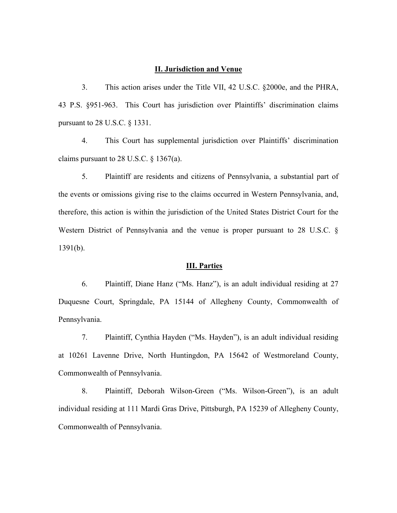### **II. Jurisdiction and Venue**

3. This action arises under the Title VII, 42 U.S.C. §2000e, and the PHRA, 43 P.S. §951-963. This Court has jurisdiction over Plaintiffs' discrimination claims pursuant to 28 U.S.C. § 1331.

4. This Court has supplemental jurisdiction over Plaintiffs' discrimination claims pursuant to 28 U.S.C.  $\S$  1367(a).

5. Plaintiff are residents and citizens of Pennsylvania, a substantial part of the events or omissions giving rise to the claims occurred in Western Pennsylvania, and, therefore, this action is within the jurisdiction of the United States District Court for the Western District of Pennsylvania and the venue is proper pursuant to 28 U.S.C. § 1391(b).

### **III. Parties**

6. Plaintiff, Diane Hanz ("Ms. Hanz"), is an adult individual residing at 27 Duquesne Court, Springdale, PA 15144 of Allegheny County, Commonwealth of Pennsylvania.

7. Plaintiff, Cynthia Hayden ("Ms. Hayden"), is an adult individual residing at 10261 Lavenne Drive, North Huntingdon, PA 15642 of Westmoreland County, Commonwealth of Pennsylvania.

8. Plaintiff, Deborah Wilson-Green ("Ms. Wilson-Green"), is an adult individual residing at 111 Mardi Gras Drive, Pittsburgh, PA 15239 of Allegheny County, Commonwealth of Pennsylvania.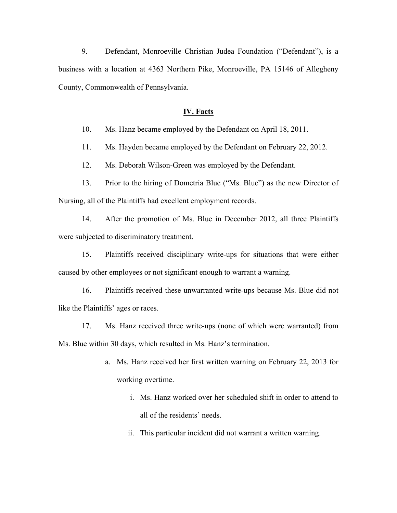9. Defendant, Monroeville Christian Judea Foundation ("Defendant"), is a business with a location at 4363 Northern Pike, Monroeville, PA 15146 of Allegheny County, Commonwealth of Pennsylvania.

# **IV. Facts**

10. Ms. Hanz became employed by the Defendant on April 18, 2011.

11. Ms. Hayden became employed by the Defendant on February 22, 2012.

12. Ms. Deborah Wilson-Green was employed by the Defendant.

13. Prior to the hiring of Dometria Blue ("Ms. Blue") as the new Director of Nursing, all of the Plaintiffs had excellent employment records.

14. After the promotion of Ms. Blue in December 2012, all three Plaintiffs were subjected to discriminatory treatment.

15. Plaintiffs received disciplinary write-ups for situations that were either caused by other employees or not significant enough to warrant a warning.

16. Plaintiffs received these unwarranted write-ups because Ms. Blue did not like the Plaintiffs' ages or races.

17. Ms. Hanz received three write-ups (none of which were warranted) from Ms. Blue within 30 days, which resulted in Ms. Hanz's termination.

- a. Ms. Hanz received her first written warning on February 22, 2013 for working overtime.
	- i. Ms. Hanz worked over her scheduled shift in order to attend to all of the residents' needs.
	- ii. This particular incident did not warrant a written warning.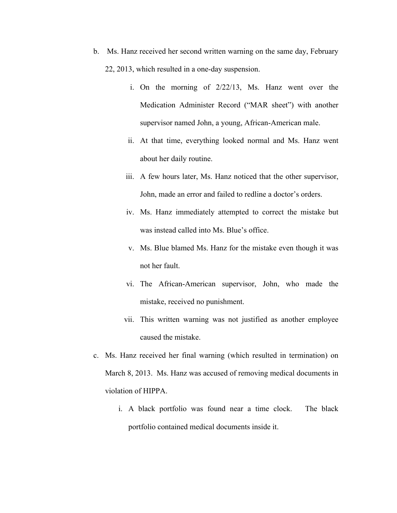- b. Ms. Hanz received her second written warning on the same day, February 22, 2013, which resulted in a one-day suspension.
	- i. On the morning of 2/22/13, Ms. Hanz went over the Medication Administer Record ("MAR sheet") with another supervisor named John, a young, African-American male.
	- ii. At that time, everything looked normal and Ms. Hanz went about her daily routine.
	- iii. A few hours later, Ms. Hanz noticed that the other supervisor, John, made an error and failed to redline a doctor's orders.
	- iv. Ms. Hanz immediately attempted to correct the mistake but was instead called into Ms. Blue's office.
	- v. Ms. Blue blamed Ms. Hanz for the mistake even though it was not her fault.
	- vi. The African-American supervisor, John, who made the mistake, received no punishment.
	- vii. This written warning was not justified as another employee caused the mistake.
- c. Ms. Hanz received her final warning (which resulted in termination) on March 8, 2013. Ms. Hanz was accused of removing medical documents in violation of HIPPA.
	- i. A black portfolio was found near a time clock. The black portfolio contained medical documents inside it.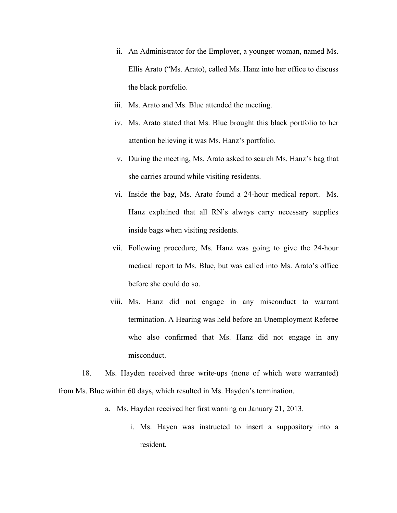- ii. An Administrator for the Employer, a younger woman, named Ms. Ellis Arato ("Ms. Arato), called Ms. Hanz into her office to discuss the black portfolio.
- iii. Ms. Arato and Ms. Blue attended the meeting.
- iv. Ms. Arato stated that Ms. Blue brought this black portfolio to her attention believing it was Ms. Hanz's portfolio.
- v. During the meeting, Ms. Arato asked to search Ms. Hanz's bag that she carries around while visiting residents.
- vi. Inside the bag, Ms. Arato found a 24-hour medical report. Ms. Hanz explained that all RN's always carry necessary supplies inside bags when visiting residents.
- vii. Following procedure, Ms. Hanz was going to give the 24-hour medical report to Ms. Blue, but was called into Ms. Arato's office before she could do so.
- viii. Ms. Hanz did not engage in any misconduct to warrant termination. A Hearing was held before an Unemployment Referee who also confirmed that Ms. Hanz did not engage in any misconduct.

18. Ms. Hayden received three write-ups (none of which were warranted) from Ms. Blue within 60 days, which resulted in Ms. Hayden's termination.

- a. Ms. Hayden received her first warning on January 21, 2013.
	- i. Ms. Hayen was instructed to insert a suppository into a resident.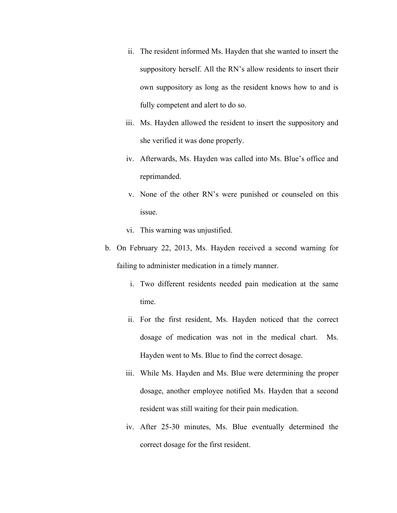- ii. The resident informed Ms. Hayden that she wanted to insert the suppository herself. All the RN's allow residents to insert their own suppository as long as the resident knows how to and is fully competent and alert to do so.
- iii. Ms. Hayden allowed the resident to insert the suppository and she verified it was done properly.
- iv. Afterwards, Ms. Hayden was called into Ms. Blue's office and reprimanded.
- v. None of the other RN's were punished or counseled on this issue.
- vi. This warning was unjustified.
- b. On February 22, 2013, Ms. Hayden received a second warning for failing to administer medication in a timely manner.
	- i. Two different residents needed pain medication at the same time.
	- ii. For the first resident, Ms. Hayden noticed that the correct dosage of medication was not in the medical chart. Ms. Hayden went to Ms. Blue to find the correct dosage.
	- iii. While Ms. Hayden and Ms. Blue were determining the proper dosage, another employee notified Ms. Hayden that a second resident was still waiting for their pain medication.
	- iv. After 25-30 minutes, Ms. Blue eventually determined the correct dosage for the first resident.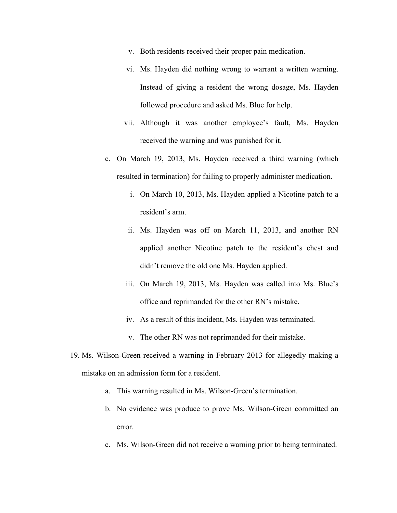- v. Both residents received their proper pain medication.
- vi. Ms. Hayden did nothing wrong to warrant a written warning. Instead of giving a resident the wrong dosage, Ms. Hayden followed procedure and asked Ms. Blue for help.
- vii. Although it was another employee's fault, Ms. Hayden received the warning and was punished for it.
- c. On March 19, 2013, Ms. Hayden received a third warning (which resulted in termination) for failing to properly administer medication.
	- i. On March 10, 2013, Ms. Hayden applied a Nicotine patch to a resident's arm.
	- ii. Ms. Hayden was off on March 11, 2013, and another RN applied another Nicotine patch to the resident's chest and didn't remove the old one Ms. Hayden applied.
	- iii. On March 19, 2013, Ms. Hayden was called into Ms. Blue's office and reprimanded for the other RN's mistake.
	- iv. As a result of this incident, Ms. Hayden was terminated.
	- v. The other RN was not reprimanded for their mistake.
- 19. Ms. Wilson-Green received a warning in February 2013 for allegedly making a mistake on an admission form for a resident.
	- a. This warning resulted in Ms. Wilson-Green's termination.
	- b. No evidence was produce to prove Ms. Wilson-Green committed an error.
	- c. Ms. Wilson-Green did not receive a warning prior to being terminated.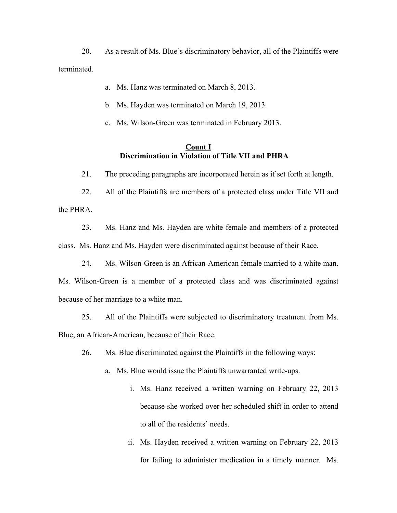20. As a result of Ms. Blue's discriminatory behavior, all of the Plaintiffs were terminated.

- a. Ms. Hanz was terminated on March 8, 2013.
- b. Ms. Hayden was terminated on March 19, 2013.
- c. Ms. Wilson-Green was terminated in February 2013.

# **Count I Discrimination in Violation of Title VII and PHRA**

21. The preceding paragraphs are incorporated herein as if set forth at length.

22. All of the Plaintiffs are members of a protected class under Title VII and the PHRA.

23. Ms. Hanz and Ms. Hayden are white female and members of a protected class. Ms. Hanz and Ms. Hayden were discriminated against because of their Race.

24. Ms. Wilson-Green is an African-American female married to a white man. Ms. Wilson-Green is a member of a protected class and was discriminated against because of her marriage to a white man.

25. All of the Plaintiffs were subjected to discriminatory treatment from Ms. Blue, an African-American, because of their Race.

26. Ms. Blue discriminated against the Plaintiffs in the following ways:

- a. Ms. Blue would issue the Plaintiffs unwarranted write-ups.
	- i. Ms. Hanz received a written warning on February 22, 2013 because she worked over her scheduled shift in order to attend to all of the residents' needs.
	- ii. Ms. Hayden received a written warning on February 22, 2013 for failing to administer medication in a timely manner. Ms.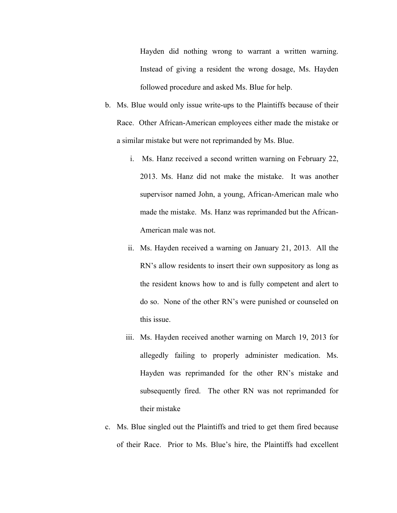Hayden did nothing wrong to warrant a written warning. Instead of giving a resident the wrong dosage, Ms. Hayden followed procedure and asked Ms. Blue for help.

- b. Ms. Blue would only issue write-ups to the Plaintiffs because of their Race. Other African-American employees either made the mistake or a similar mistake but were not reprimanded by Ms. Blue.
	- i. Ms. Hanz received a second written warning on February 22, 2013. Ms. Hanz did not make the mistake. It was another supervisor named John, a young, African-American male who made the mistake. Ms. Hanz was reprimanded but the African-American male was not.
	- ii. Ms. Hayden received a warning on January 21, 2013. All the RN's allow residents to insert their own suppository as long as the resident knows how to and is fully competent and alert to do so. None of the other RN's were punished or counseled on this issue.
	- iii. Ms. Hayden received another warning on March 19, 2013 for allegedly failing to properly administer medication. Ms. Hayden was reprimanded for the other RN's mistake and subsequently fired. The other RN was not reprimanded for their mistake
- c. Ms. Blue singled out the Plaintiffs and tried to get them fired because of their Race. Prior to Ms. Blue's hire, the Plaintiffs had excellent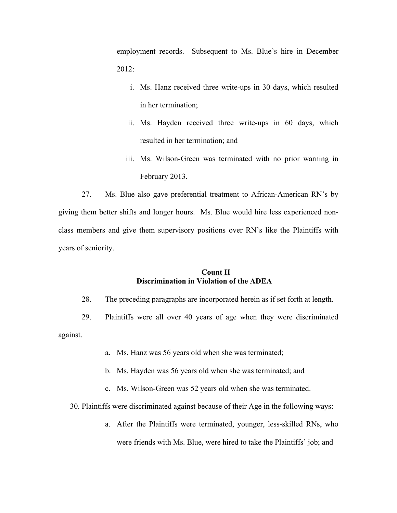employment records. Subsequent to Ms. Blue's hire in December 2012:

- i. Ms. Hanz received three write-ups in 30 days, which resulted in her termination;
- ii. Ms. Hayden received three write-ups in 60 days, which resulted in her termination; and
- iii. Ms. Wilson-Green was terminated with no prior warning in February 2013.

27. Ms. Blue also gave preferential treatment to African-American RN's by giving them better shifts and longer hours. Ms. Blue would hire less experienced nonclass members and give them supervisory positions over RN's like the Plaintiffs with years of seniority.

# **Count II Discrimination in Violation of the ADEA**

28. The preceding paragraphs are incorporated herein as if set forth at length.

29. Plaintiffs were all over 40 years of age when they were discriminated against.

- a. Ms. Hanz was 56 years old when she was terminated;
- b. Ms. Hayden was 56 years old when she was terminated; and
- c. Ms. Wilson-Green was 52 years old when she was terminated.

30. Plaintiffs were discriminated against because of their Age in the following ways:

a. After the Plaintiffs were terminated, younger, less-skilled RNs, who were friends with Ms. Blue, were hired to take the Plaintiffs' job; and